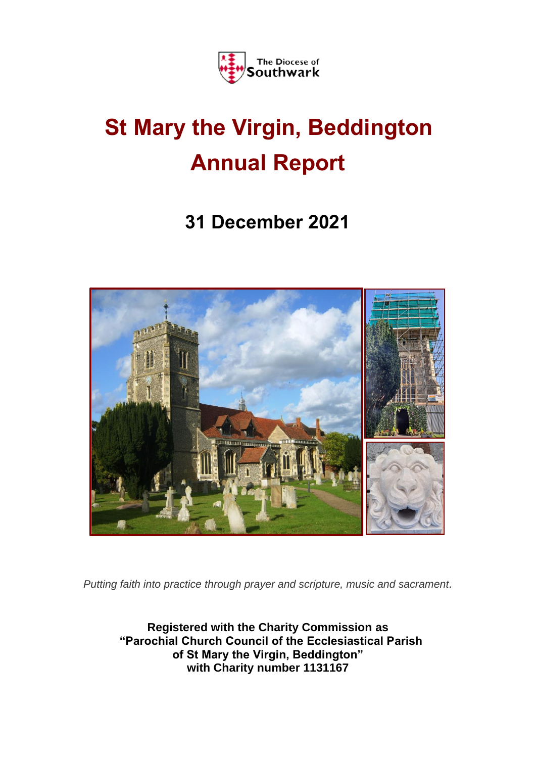

# **St Mary the Virgin, Beddington Annual Report**

## **31 December 2021**



*Putting faith into practice through prayer and scripture, music and sacrament.*

**Registered with the Charity Commission as "Parochial Church Council of the Ecclesiastical Parish of St Mary the Virgin, Beddington" with Charity number 1131167**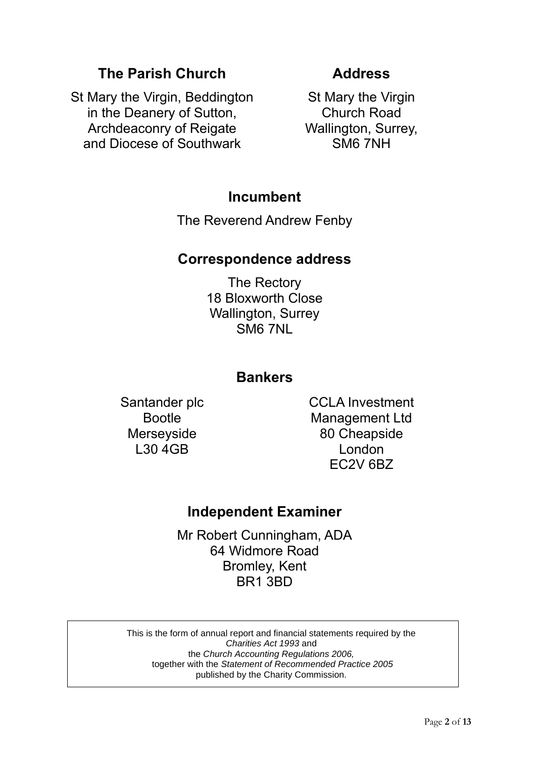## **The Parish Church**

St Mary the Virgin, Beddington in the Deanery of Sutton, Archdeaconry of Reigate and Diocese of Southwark

## **Address**

St Mary the Virgin Church Road Wallington, Surrey, SM6 7NH

## **Incumbent**

The Reverend Andrew Fenby

## **Correspondence address**

The Rectory 18 Bloxworth Close Wallington, Surrey SM6 7NL

## **Bankers**

Santander plc Bootle **Merseyside** L30 4GB

CCLA Investment Management Ltd 80 Cheapside London EC2V 6BZ

## **Independent Examiner**

Mr Robert Cunningham, ADA 64 Widmore Road Bromley, Kent BR1 3BD

This is the form of annual report and financial statements required by the *Charities Act 1993* and the *Church Accounting Regulations 2006,* together with the *Statement of Recommended Practice 2005*  published by the Charity Commission.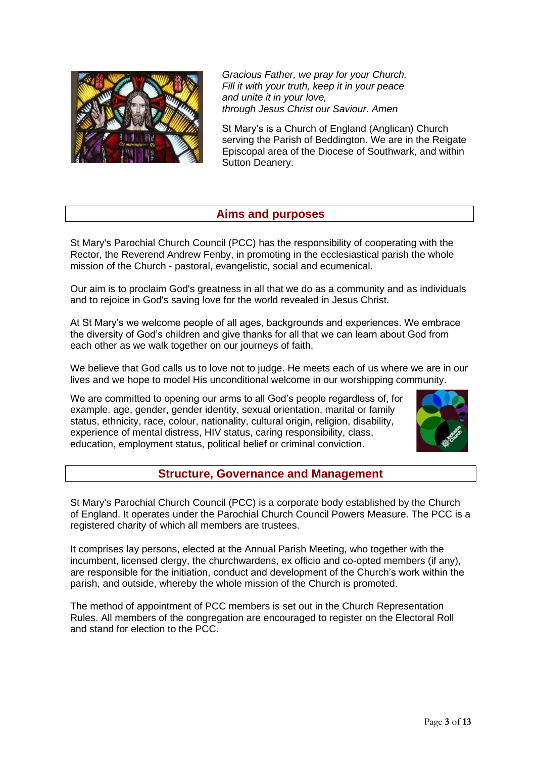

*Gracious Father, we pray for your Church. Fill it with your truth, keep it in your peace and unite it in your love, through Jesus Christ our Saviour. Amen* 

St Mary's is a Church of England (Anglican) Church serving the Parish of Beddington. We are in the Reigate Episcopal area of the Diocese of Southwark, and within Sutton Deanery.

#### **Aims and purposes**

St Mary's Parochial Church Council (PCC) has the responsibility of cooperating with the Rector, the Reverend Andrew Fenby, in promoting in the ecclesiastical parish the whole mission of the Church - pastoral, evangelistic, social and ecumenical.

Our aim is to proclaim God's greatness in all that we do as a community and as individuals and to rejoice in God's saving love for the world revealed in Jesus Christ.

At St Mary's we welcome people of all ages, backgrounds and experiences. We embrace the diversity of God's children and give thanks for all that we can learn about God from each other as we walk together on our journeys of faith.

We believe that God calls us to love not to judge. He meets each of us where we are in our lives and we hope to model His unconditional welcome in our worshipping community.

We are committed to opening our arms to all God's people regardless of, for example. age, gender, gender identity, sexual orientation, marital or family status, ethnicity, race, colour, nationality, cultural origin, religion, disability, experience of mental distress, HIV status, caring responsibility, class, education, employment status, political belief or criminal conviction.



#### **Structure, Governance and Management**

St Mary's Parochial Church Council (PCC) is a corporate body established by the Church of England. It operates under the Parochial Church Council Powers Measure. The PCC is a registered charity of which all members are trustees.

It comprises lay persons, elected at the Annual Parish Meeting, who together with the incumbent, licensed clergy, the churchwardens, ex officio and co-opted members (if any), are responsible for the initiation, conduct and development of the Church's work within the parish, and outside, whereby the whole mission of the Church is promoted.

The method of appointment of PCC members is set out in the Church Representation Rules. All members of the congregation are encouraged to register on the Electoral Roll and stand for election to the PCC.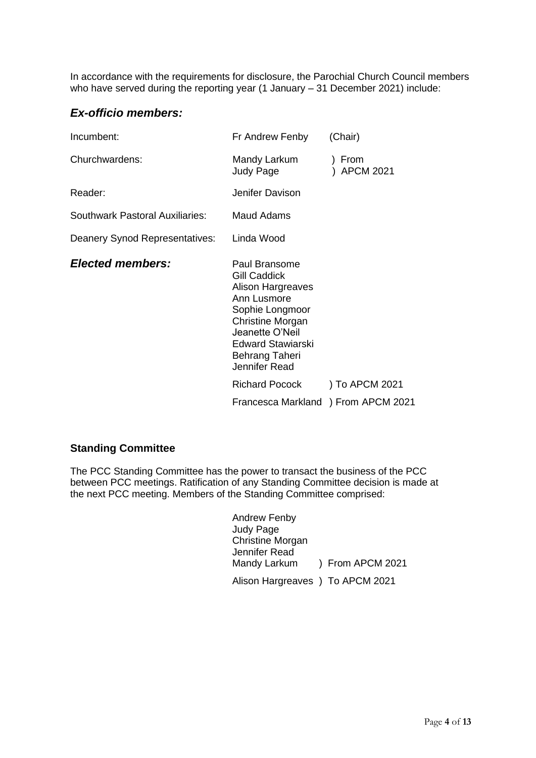In accordance with the requirements for disclosure, the Parochial Church Council members who have served during the reporting year (1 January – 31 December 2021) include:

#### *Ex-officio members:*

| Incumbent:                      | (Chair)<br>Fr Andrew Fenby                                                                                                                                                                               |                |
|---------------------------------|----------------------------------------------------------------------------------------------------------------------------------------------------------------------------------------------------------|----------------|
| Churchwardens:                  | Mandy Larkum<br>) From<br><b>APCM 2021</b><br>Judy Page                                                                                                                                                  |                |
| Reader:                         | Jenifer Davison                                                                                                                                                                                          |                |
| Southwark Pastoral Auxiliaries: | Maud Adams                                                                                                                                                                                               |                |
| Deanery Synod Representatives:  | Linda Wood                                                                                                                                                                                               |                |
| <b>Elected members:</b>         | Paul Bransome<br><b>Gill Caddick</b><br>Alison Hargreaves<br>Ann Lusmore<br>Sophie Longmoor<br><b>Christine Morgan</b><br>Jeanette O'Neil<br><b>Edward Stawiarski</b><br>Behrang Taheri<br>Jennifer Read |                |
|                                 | <b>Richard Pocock</b>                                                                                                                                                                                    | ) To APCM 2021 |
|                                 | Francesca Markland ) From APCM 2021                                                                                                                                                                      |                |

#### **Standing Committee**

The PCC Standing Committee has the power to transact the business of the PCC between PCC meetings. Ratification of any Standing Committee decision is made at the next PCC meeting. Members of the Standing Committee comprised:

| <b>Andrew Fenby</b>              |                  |
|----------------------------------|------------------|
| <b>Judy Page</b>                 |                  |
| <b>Christine Morgan</b>          |                  |
| Jennifer Read                    |                  |
| Mandy Larkum                     | ) From APCM 2021 |
| Alison Hargreaves ) To APCM 2021 |                  |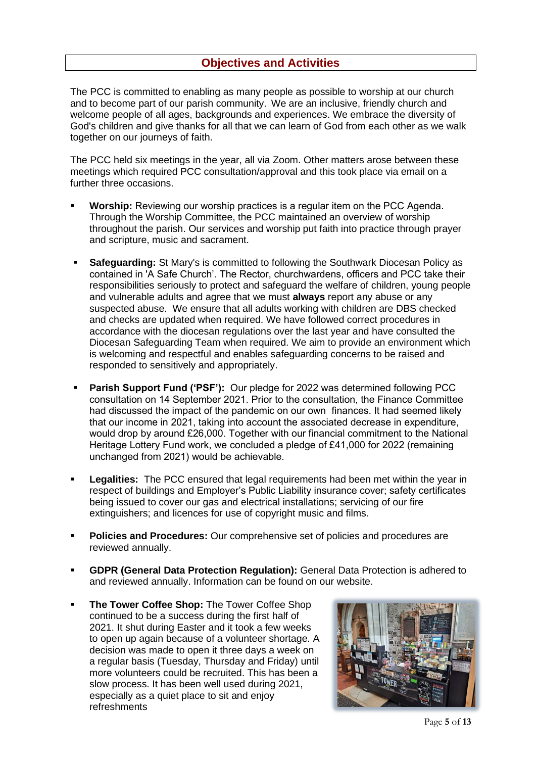The PCC is committed to enabling as many people as possible to worship at our church and to become part of our parish community. We are an inclusive, friendly church and welcome people of all ages, backgrounds and experiences. We embrace the diversity of God's children and give thanks for all that we can learn of God from each other as we walk together on our journeys of faith.

The PCC held six meetings in the year, all via Zoom. Other matters arose between these meetings which required PCC consultation/approval and this took place via email on a further three occasions.

- **Worship:** Reviewing our worship practices is a regular item on the PCC Agenda. Through the Worship Committee, the PCC maintained an overview of worship throughout the parish. Our services and worship put faith into practice through prayer and scripture, music and sacrament.
- **Safeguarding:** St Mary's is committed to following the Southwark Diocesan Policy as contained in 'A Safe Church'. The Rector, churchwardens, officers and PCC take their responsibilities seriously to protect and safeguard the welfare of children, young people and vulnerable adults and agree that we must **always** report any abuse or any suspected abuse. We ensure that all adults working with children are DBS checked and checks are updated when required. We have followed correct procedures in accordance with the diocesan regulations over the last year and have consulted the Diocesan Safeguarding Team when required. We aim to provide an environment which is welcoming and respectful and enables safeguarding concerns to be raised and responded to sensitively and appropriately.
- **Parish Support Fund ('PSF'):** Our pledge for 2022 was determined following PCC consultation on 14 September 2021. Prior to the consultation, the Finance Committee had discussed the impact of the pandemic on our own finances. It had seemed likely that our income in 2021, taking into account the associated decrease in expenditure, would drop by around £26,000. Together with our financial commitment to the National Heritage Lottery Fund work, we concluded a pledge of £41,000 for 2022 (remaining unchanged from 2021) would be achievable.
- **Legalities:** The PCC ensured that legal requirements had been met within the year in respect of buildings and Employer's Public Liability insurance cover; safety certificates being issued to cover our gas and electrical installations; servicing of our fire extinguishers; and licences for use of copyright music and films.
- **Policies and Procedures:** Our comprehensive set of policies and procedures are reviewed annually.
- **GDPR (General Data Protection Regulation):** General Data Protection is adhered to and reviewed annually. Information can be found on our website.
- **The Tower Coffee Shop: The Tower Coffee Shop** continued to be a success during the first half of 2021. It shut during Easter and it took a few weeks to open up again because of a volunteer shortage. A decision was made to open it three days a week on a regular basis (Tuesday, Thursday and Friday) until more volunteers could be recruited. This has been a slow process. It has been well used during 2021, especially as a quiet place to sit and enjoy refreshments

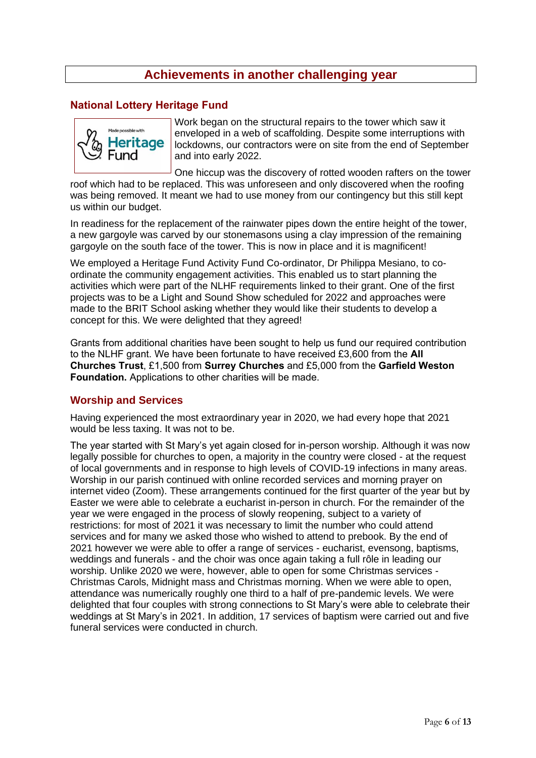### **Achievements in another challenging year**

#### **National Lottery Heritage Fund**



Work began on the structural repairs to the tower which saw it enveloped in a web of scaffolding. Despite some interruptions with lockdowns, our contractors were on site from the end of September and into early 2022.

One hiccup was the discovery of rotted wooden rafters on the tower roof which had to be replaced. This was unforeseen and only discovered when the roofing was being removed. It meant we had to use money from our contingency but this still kept us within our budget.

In readiness for the replacement of the rainwater pipes down the entire height of the tower, a new gargoyle was carved by our stonemasons using a clay impression of the remaining gargoyle on the south face of the tower. This is now in place and it is magnificent!

We employed a Heritage Fund Activity Fund Co-ordinator, Dr Philippa Mesiano, to coordinate the community engagement activities. This enabled us to start planning the activities which were part of the NLHF requirements linked to their grant. One of the first projects was to be a Light and Sound Show scheduled for 2022 and approaches were made to the BRIT School asking whether they would like their students to develop a concept for this. We were delighted that they agreed!

Grants from additional charities have been sought to help us fund our required contribution to the NLHF grant. We have been fortunate to have received £3,600 from the **All Churches Trust**, £1,500 from **Surrey Churches** and £5,000 from the **Garfield Weston Foundation.** Applications to other charities will be made.

#### **Worship and Services**

Having experienced the most extraordinary year in 2020, we had every hope that 2021 would be less taxing. It was not to be.

The year started with St Mary's yet again closed for in-person worship. Although it was now legally possible for churches to open, a majority in the country were closed - at the request of local governments and in response to high levels of COVID-19 infections in many areas. Worship in our parish continued with online recorded services and morning prayer on internet video (Zoom). These arrangements continued for the first quarter of the year but by Easter we were able to celebrate a eucharist in-person in church. For the remainder of the year we were engaged in the process of slowly reopening, subject to a variety of restrictions: for most of 2021 it was necessary to limit the number who could attend services and for many we asked those who wished to attend to prebook. By the end of 2021 however we were able to offer a range of services - eucharist, evensong, baptisms, weddings and funerals - and the choir was once again taking a full rôle in leading our worship. Unlike 2020 we were, however, able to open for some Christmas services - Christmas Carols, Midnight mass and Christmas morning. When we were able to open, attendance was numerically roughly one third to a half of pre-pandemic levels. We were delighted that four couples with strong connections to St Mary's were able to celebrate their weddings at St Mary's in 2021. In addition, 17 services of baptism were carried out and five funeral services were conducted in church.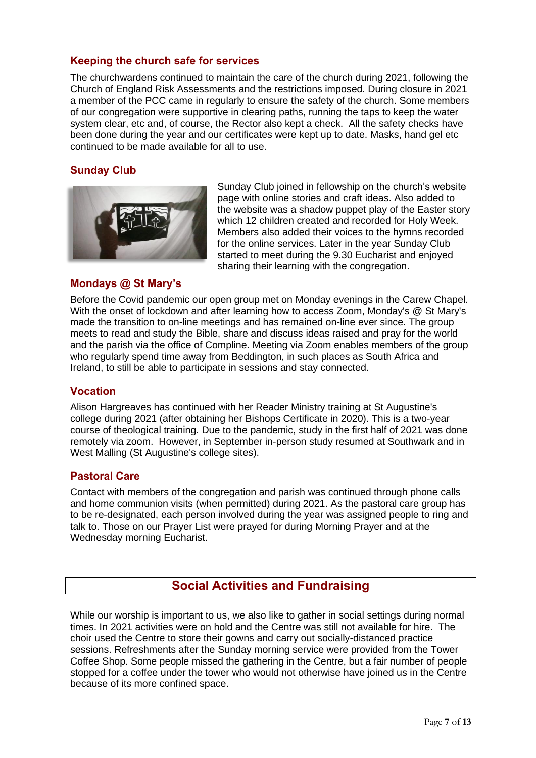#### **Keeping the church safe for services**

The churchwardens continued to maintain the care of the church during 2021, following the Church of England Risk Assessments and the restrictions imposed. During closure in 2021 a member of the PCC came in regularly to ensure the safety of the church. Some members of our congregation were supportive in clearing paths, running the taps to keep the water system clear, etc and, of course, the Rector also kept a check. All the safety checks have been done during the year and our certificates were kept up to date. Masks, hand gel etc continued to be made available for all to use.

#### **Sunday Club**



Sunday Club joined in fellowship on the church's website page with online stories and craft ideas. Also added to the website was a shadow puppet play of the Easter story which 12 children created and recorded for Holy Week. Members also added their voices to the hymns recorded for the online services. Later in the year Sunday Club started to meet during the 9.30 Eucharist and enjoyed sharing their learning with the congregation.

#### **Mondays @ St Mary's**

Before the Covid pandemic our open group met on Monday evenings in the Carew Chapel. With the onset of lockdown and after learning how to access Zoom, Monday's @ St Mary's made the transition to on-line meetings and has remained on-line ever since. The group meets to read and study the Bible, share and discuss ideas raised and pray for the world and the parish via the office of Compline. Meeting via Zoom enables members of the group who regularly spend time away from Beddington, in such places as South Africa and Ireland, to still be able to participate in sessions and stay connected.

#### **Vocation**

Alison Hargreaves has continued with her Reader Ministry training at St Augustine's college during 2021 (after obtaining her Bishops Certificate in 2020). This is a two-year course of theological training. Due to the pandemic, study in the first half of 2021 was done remotely via zoom. However, in September in-person study resumed at Southwark and in West Malling (St Augustine's college sites).

#### **Pastoral Care**

Contact with members of the congregation and parish was continued through phone calls and home communion visits (when permitted) during 2021. As the pastoral care group has to be re-designated, each person involved during the year was assigned people to ring and talk to. Those on our Prayer List were prayed for during Morning Prayer and at the Wednesday morning Eucharist.

#### **Social Activities and Fundraising**

While our worship is important to us, we also like to gather in social settings during normal times. In 2021 activities were on hold and the Centre was still not available for hire. The choir used the Centre to store their gowns and carry out socially-distanced practice sessions. Refreshments after the Sunday morning service were provided from the Tower Coffee Shop. Some people missed the gathering in the Centre, but a fair number of people stopped for a coffee under the tower who would not otherwise have joined us in the Centre because of its more confined space.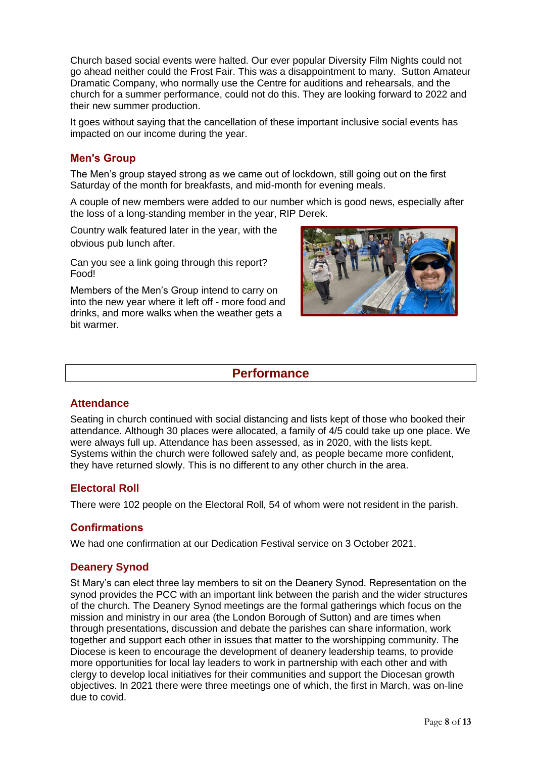Church based social events were halted. Our ever popular Diversity Film Nights could not go ahead neither could the Frost Fair. This was a disappointment to many. Sutton Amateur Dramatic Company, who normally use the Centre for auditions and rehearsals, and the church for a summer performance, could not do this. They are looking forward to 2022 and their new summer production.

It goes without saying that the cancellation of these important inclusive social events has impacted on our income during the year.

#### **Men's Group**

The Men's group stayed strong as we came out of lockdown, still going out on the first Saturday of the month for breakfasts, and mid-month for evening meals.

A couple of new members were added to our number which is good news, especially after the loss of a long-standing member in the year, RIP Derek.

Country walk featured later in the year, with the obvious pub lunch after.

Can you see a link going through this report? Food!

Members of the Men's Group intend to carry on into the new year where it left off - more food and drinks, and more walks when the weather gets a bit warmer.



#### **Performance**

#### **Attendance**

Seating in church continued with social distancing and lists kept of those who booked their attendance. Although 30 places were allocated, a family of 4/5 could take up one place. We were always full up. Attendance has been assessed, as in 2020, with the lists kept. Systems within the church were followed safely and, as people became more confident, they have returned slowly. This is no different to any other church in the area.

#### **Electoral Roll**

There were 102 people on the Electoral Roll, 54 of whom were not resident in the parish.

#### **Confirmations**

We had one confirmation at our Dedication Festival service on 3 October 2021.

#### **Deanery Synod**

St Mary's can elect three lay members to sit on the Deanery Synod. Representation on the synod provides the PCC with an important link between the parish and the wider structures of the church. The Deanery Synod meetings are the formal gatherings which focus on the mission and ministry in our area (the London Borough of Sutton) and are times when through presentations, discussion and debate the parishes can share information, work together and support each other in issues that matter to the worshipping community. The Diocese is keen to encourage the development of deanery leadership teams, to provide more opportunities for local lay leaders to work in partnership with each other and with clergy to develop local initiatives for their communities and support the Diocesan growth objectives. In 2021 there were three meetings one of which, the first in March, was on-line due to covid.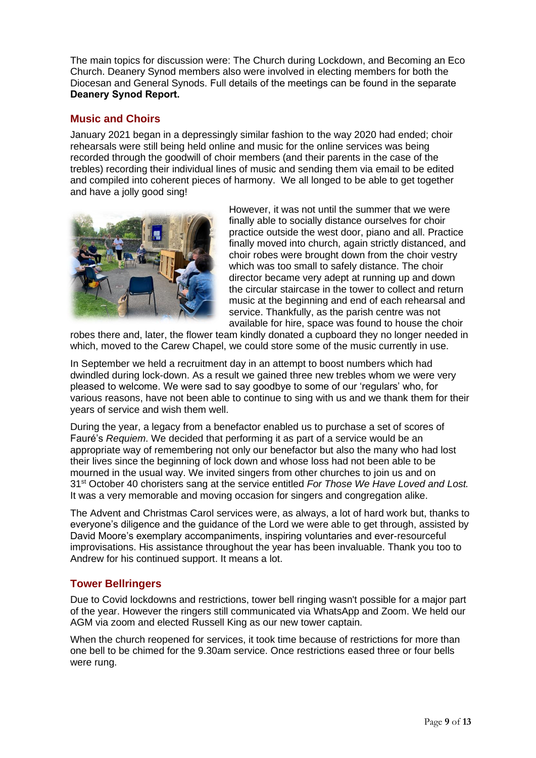The main topics for discussion were: The Church during Lockdown, and Becoming an Eco Church. Deanery Synod members also were involved in electing members for both the Diocesan and General Synods. Full details of the meetings can be found in the separate **Deanery Synod Report.**

#### **Music and Choirs**

January 2021 began in a depressingly similar fashion to the way 2020 had ended; choir rehearsals were still being held online and music for the online services was being recorded through the goodwill of choir members (and their parents in the case of the trebles) recording their individual lines of music and sending them via email to be edited and compiled into coherent pieces of harmony. We all longed to be able to get together and have a jolly good sing!



However, it was not until the summer that we were finally able to socially distance ourselves for choir practice outside the west door, piano and all. Practice finally moved into church, again strictly distanced, and choir robes were brought down from the choir vestry which was too small to safely distance. The choir director became very adept at running up and down the circular staircase in the tower to collect and return music at the beginning and end of each rehearsal and service. Thankfully, as the parish centre was not available for hire, space was found to house the choir

robes there and, later, the flower team kindly donated a cupboard they no longer needed in which, moved to the Carew Chapel, we could store some of the music currently in use.

In September we held a recruitment day in an attempt to boost numbers which had dwindled during lock-down. As a result we gained three new trebles whom we were very pleased to welcome. We were sad to say goodbye to some of our 'regulars' who, for various reasons, have not been able to continue to sing with us and we thank them for their years of service and wish them well.

During the year, a legacy from a benefactor enabled us to purchase a set of scores of Fauré's *Requiem*. We decided that performing it as part of a service would be an appropriate way of remembering not only our benefactor but also the many who had lost their lives since the beginning of lock down and whose loss had not been able to be mourned in the usual way. We invited singers from other churches to join us and on 31st October 40 choristers sang at the service entitled *For Those We Have Loved and Lost.* It was a very memorable and moving occasion for singers and congregation alike.

The Advent and Christmas Carol services were, as always, a lot of hard work but, thanks to everyone's diligence and the guidance of the Lord we were able to get through, assisted by David Moore's exemplary accompaniments, inspiring voluntaries and ever-resourceful improvisations. His assistance throughout the year has been invaluable. Thank you too to Andrew for his continued support. It means a lot.

#### **Tower Bellringers**

Due to Covid lockdowns and restrictions, tower bell ringing wasn't possible for a major part of the year. However the ringers still communicated via WhatsApp and Zoom. We held our AGM via zoom and elected Russell King as our new tower captain.

When the church reopened for services, it took time because of restrictions for more than one bell to be chimed for the 9.30am service. Once restrictions eased three or four bells were rung.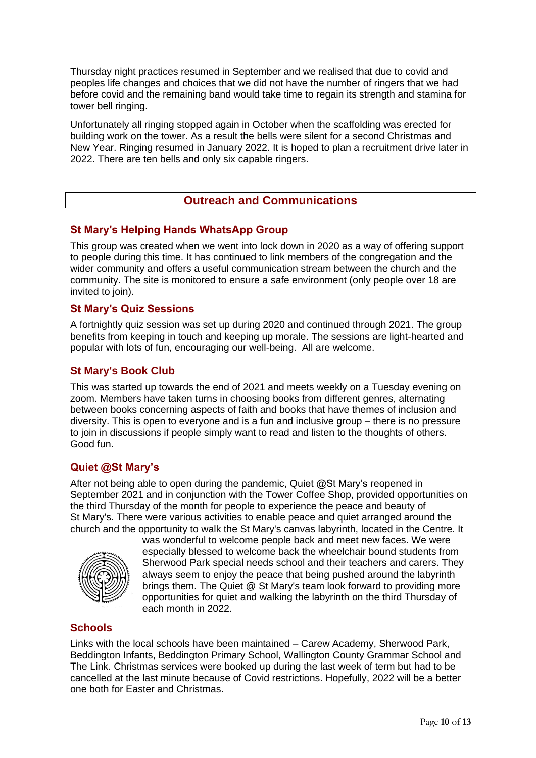Thursday night practices resumed in September and we realised that due to covid and peoples life changes and choices that we did not have the number of ringers that we had before covid and the remaining band would take time to regain its strength and stamina for tower bell ringing.

Unfortunately all ringing stopped again in October when the scaffolding was erected for building work on the tower. As a result the bells were silent for a second Christmas and New Year. Ringing resumed in January 2022. It is hoped to plan a recruitment drive later in 2022. There are ten bells and only six capable ringers.

#### **Outreach and Communications**

#### **St Mary's Helping Hands WhatsApp Group**

This group was created when we went into lock down in 2020 as a way of offering support to people during this time. It has continued to link members of the congregation and the wider community and offers a useful communication stream between the church and the community. The site is monitored to ensure a safe environment (only people over 18 are invited to join).

#### **St Mary's Quiz Sessions**

A fortnightly quiz session was set up during 2020 and continued through 2021. The group benefits from keeping in touch and keeping up morale. The sessions are light-hearted and popular with lots of fun, encouraging our well-being. All are welcome.

#### **St Mary's Book Club**

This was started up towards the end of 2021 and meets weekly on a Tuesday evening on zoom. Members have taken turns in choosing books from different genres, alternating between books concerning aspects of faith and books that have themes of inclusion and diversity. This is open to everyone and is a fun and inclusive group – there is no pressure to join in discussions if people simply want to read and listen to the thoughts of others. Good fun.

#### **Quiet @St Mary's**

After not being able to open during the pandemic, Quiet @St Mary's reopened in September 2021 and in conjunction with the Tower Coffee Shop, provided opportunities on the third Thursday of the month for people to experience the peace and beauty of St Mary's. There were various activities to enable peace and quiet arranged around the church and the opportunity to walk the St Mary's canvas labyrinth, located in the Centre. It



was wonderful to welcome people back and meet new faces. We were especially blessed to welcome back the wheelchair bound students from Sherwood Park special needs school and their teachers and carers. They always seem to enjoy the peace that being pushed around the labyrinth brings them. The Quiet @ St Mary's team look forward to providing more opportunities for quiet and walking the labyrinth on the third Thursday of each month in 2022.

#### **Schools**

Links with the local schools have been maintained – Carew Academy, Sherwood Park, Beddington Infants, Beddington Primary School, Wallington County Grammar School and The Link. Christmas services were booked up during the last week of term but had to be cancelled at the last minute because of Covid restrictions. Hopefully, 2022 will be a better one both for Easter and Christmas.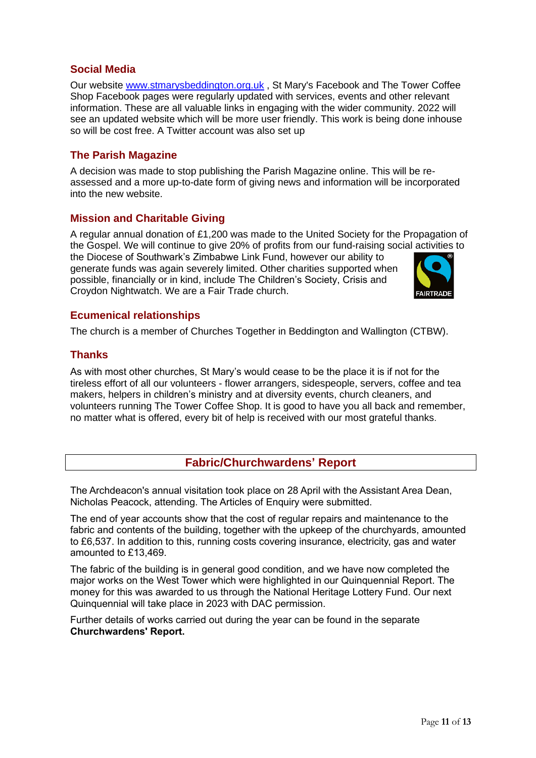#### **Social Media**

Our website [www.stmarysbeddington.org.uk](http://www.stmarysbeddington.org.uk/) , St Mary's Facebook and The Tower Coffee Shop Facebook pages were regularly updated with services, events and other relevant information. These are all valuable links in engaging with the wider community. 2022 will see an updated website which will be more user friendly. This work is being done inhouse so will be cost free. A Twitter account was also set up

#### **The Parish Magazine**

A decision was made to stop publishing the Parish Magazine online. This will be reassessed and a more up-to-date form of giving news and information will be incorporated into the new website.

#### **Mission and Charitable Giving**

A regular annual donation of £1,200 was made to the United Society for the Propagation of the Gospel. We will continue to give 20% of profits from our fund-raising social activities to the Diocese of Southwark's Zimbabwe Link Fund, however our ability to generate funds was again severely limited. Other charities supported when possible, financially or in kind, include The Children's Society, Crisis and Croydon Nightwatch. We are a Fair Trade church.



#### **Ecumenical relationships**

The church is a member of Churches Together in Beddington and Wallington (CTBW).

#### **Thanks**

As with most other churches, St Mary's would cease to be the place it is if not for the tireless effort of all our volunteers - flower arrangers, sidespeople, servers, coffee and tea makers, helpers in children's ministry and at diversity events, church cleaners, and volunteers running The Tower Coffee Shop. It is good to have you all back and remember, no matter what is offered, every bit of help is received with our most grateful thanks.

#### **Fabric/Churchwardens' Report**

The Archdeacon's annual visitation took place on 28 April with the Assistant Area Dean, Nicholas Peacock, attending. The Articles of Enquiry were submitted.

The end of year accounts show that the cost of regular repairs and maintenance to the fabric and contents of the building, together with the upkeep of the churchyards, amounted to £6,537. In addition to this, running costs covering insurance, electricity, gas and water amounted to £13,469.

The fabric of the building is in general good condition, and we have now completed the major works on the West Tower which were highlighted in our Quinquennial Report. The money for this was awarded to us through the National Heritage Lottery Fund. Our next Quinquennial will take place in 2023 with DAC permission.

Further details of works carried out during the year can be found in the separate **Churchwardens' Report.**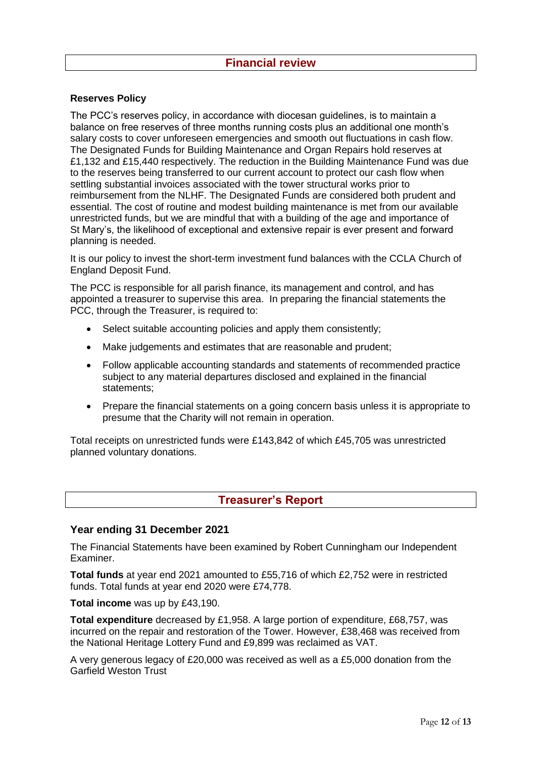#### **Financial review**

#### **Reserves Policy**

The PCC's reserves policy, in accordance with diocesan guidelines, is to maintain a balance on free reserves of three months running costs plus an additional one month's salary costs to cover unforeseen emergencies and smooth out fluctuations in cash flow. The Designated Funds for Building Maintenance and Organ Repairs hold reserves at £1,132 and £15,440 respectively. The reduction in the Building Maintenance Fund was due to the reserves being transferred to our current account to protect our cash flow when settling substantial invoices associated with the tower structural works prior to reimbursement from the NLHF. The Designated Funds are considered both prudent and essential. The cost of routine and modest building maintenance is met from our available unrestricted funds, but we are mindful that with a building of the age and importance of St Mary's, the likelihood of exceptional and extensive repair is ever present and forward planning is needed.

It is our policy to invest the short-term investment fund balances with the CCLA Church of England Deposit Fund.

The PCC is responsible for all parish finance, its management and control, and has appointed a treasurer to supervise this area. In preparing the financial statements the PCC, through the Treasurer, is required to:

- Select suitable accounting policies and apply them consistently;
- Make judgements and estimates that are reasonable and prudent;
- Follow applicable accounting standards and statements of recommended practice subject to any material departures disclosed and explained in the financial statements;
- Prepare the financial statements on a going concern basis unless it is appropriate to presume that the Charity will not remain in operation.

Total receipts on unrestricted funds were £143,842 of which £45,705 was unrestricted planned voluntary donations.

#### **Treasurer's Report**

#### **Year ending 31 December 2021**

The Financial Statements have been examined by Robert Cunningham our Independent Examiner.

**Total funds** at year end 2021 amounted to £55,716 of which £2,752 were in restricted funds. Total funds at year end 2020 were £74,778.

**Total income** was up by £43,190.

**Total expenditure** decreased by £1,958. A large portion of expenditure, £68,757, was incurred on the repair and restoration of the Tower. However, £38,468 was received from the National Heritage Lottery Fund and £9,899 was reclaimed as VAT.

A very generous legacy of £20,000 was received as well as a £5,000 donation from the Garfield Weston Trust